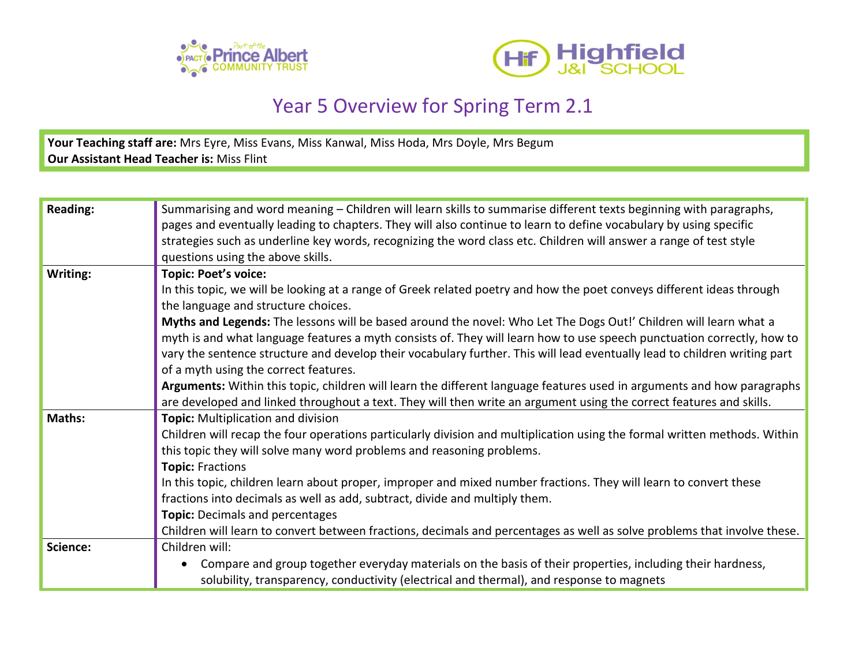



## Year 5 Overview for Spring Term 2.1

**Your Teaching staff are:** Mrs Eyre, Miss Evans, Miss Kanwal, Miss Hoda, Mrs Doyle, Mrs Begum **Our Assistant Head Teacher is:** Miss Flint

| <b>Reading:</b> | Summarising and word meaning – Children will learn skills to summarise different texts beginning with paragraphs,         |
|-----------------|---------------------------------------------------------------------------------------------------------------------------|
|                 | pages and eventually leading to chapters. They will also continue to learn to define vocabulary by using specific         |
|                 | strategies such as underline key words, recognizing the word class etc. Children will answer a range of test style        |
|                 | questions using the above skills.                                                                                         |
| Writing:        | <b>Topic: Poet's voice:</b>                                                                                               |
|                 | In this topic, we will be looking at a range of Greek related poetry and how the poet conveys different ideas through     |
|                 | the language and structure choices.                                                                                       |
|                 | Myths and Legends: The lessons will be based around the novel: Who Let The Dogs Out!' Children will learn what a          |
|                 | myth is and what language features a myth consists of. They will learn how to use speech punctuation correctly, how to    |
|                 | vary the sentence structure and develop their vocabulary further. This will lead eventually lead to children writing part |
|                 | of a myth using the correct features.                                                                                     |
|                 | Arguments: Within this topic, children will learn the different language features used in arguments and how paragraphs    |
|                 | are developed and linked throughout a text. They will then write an argument using the correct features and skills.       |
| Maths:          | Topic: Multiplication and division                                                                                        |
|                 | Children will recap the four operations particularly division and multiplication using the formal written methods. Within |
|                 | this topic they will solve many word problems and reasoning problems.                                                     |
|                 | <b>Topic: Fractions</b>                                                                                                   |
|                 | In this topic, children learn about proper, improper and mixed number fractions. They will learn to convert these         |
|                 | fractions into decimals as well as add, subtract, divide and multiply them.                                               |
|                 | Topic: Decimals and percentages                                                                                           |
|                 | Children will learn to convert between fractions, decimals and percentages as well as solve problems that involve these.  |
| Science:        | Children will:                                                                                                            |
|                 | Compare and group together everyday materials on the basis of their properties, including their hardness,<br>$\bullet$    |
|                 | solubility, transparency, conductivity (electrical and thermal), and response to magnets                                  |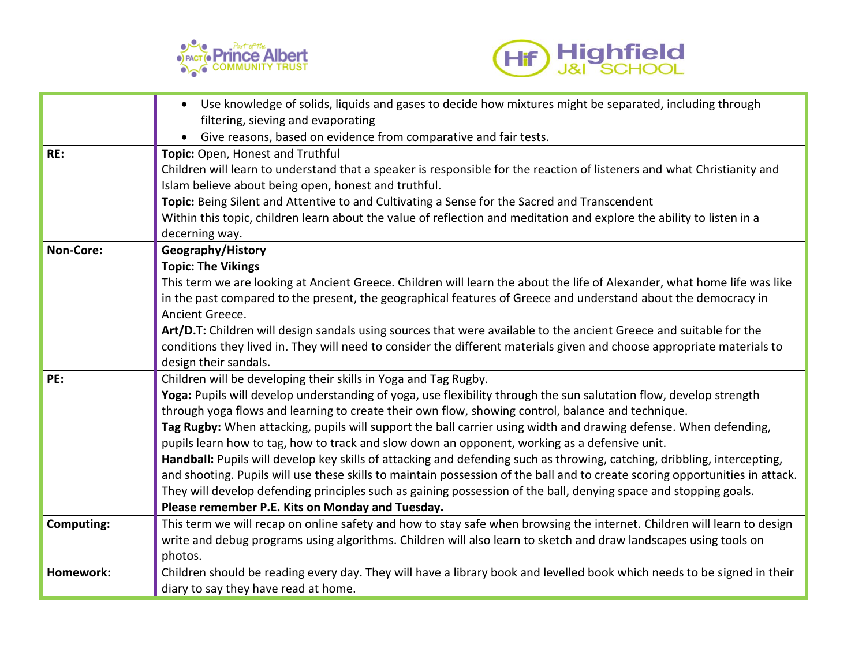



|                   | Use knowledge of solids, liquids and gases to decide how mixtures might be separated, including through                      |
|-------------------|------------------------------------------------------------------------------------------------------------------------------|
|                   | filtering, sieving and evaporating                                                                                           |
|                   | Give reasons, based on evidence from comparative and fair tests.                                                             |
| RE:               | Topic: Open, Honest and Truthful                                                                                             |
|                   | Children will learn to understand that a speaker is responsible for the reaction of listeners and what Christianity and      |
|                   | Islam believe about being open, honest and truthful.                                                                         |
|                   | Topic: Being Silent and Attentive to and Cultivating a Sense for the Sacred and Transcendent                                 |
|                   | Within this topic, children learn about the value of reflection and meditation and explore the ability to listen in a        |
|                   | decerning way.                                                                                                               |
| <b>Non-Core:</b>  | Geography/History                                                                                                            |
|                   | <b>Topic: The Vikings</b>                                                                                                    |
|                   | This term we are looking at Ancient Greece. Children will learn the about the life of Alexander, what home life was like     |
|                   | in the past compared to the present, the geographical features of Greece and understand about the democracy in               |
|                   | Ancient Greece.                                                                                                              |
|                   | Art/D.T: Children will design sandals using sources that were available to the ancient Greece and suitable for the           |
|                   | conditions they lived in. They will need to consider the different materials given and choose appropriate materials to       |
|                   | design their sandals.                                                                                                        |
| PE:               | Children will be developing their skills in Yoga and Tag Rugby.                                                              |
|                   | Yoga: Pupils will develop understanding of yoga, use flexibility through the sun salutation flow, develop strength           |
|                   | through yoga flows and learning to create their own flow, showing control, balance and technique.                            |
|                   | Tag Rugby: When attacking, pupils will support the ball carrier using width and drawing defense. When defending,             |
|                   | pupils learn how to tag, how to track and slow down an opponent, working as a defensive unit.                                |
|                   | Handball: Pupils will develop key skills of attacking and defending such as throwing, catching, dribbling, intercepting,     |
|                   | and shooting. Pupils will use these skills to maintain possession of the ball and to create scoring opportunities in attack. |
|                   | They will develop defending principles such as gaining possession of the ball, denying space and stopping goals.             |
|                   | Please remember P.E. Kits on Monday and Tuesday.                                                                             |
| <b>Computing:</b> | This term we will recap on online safety and how to stay safe when browsing the internet. Children will learn to design      |
|                   | write and debug programs using algorithms. Children will also learn to sketch and draw landscapes using tools on             |
|                   | photos.                                                                                                                      |
| Homework:         | Children should be reading every day. They will have a library book and levelled book which needs to be signed in their      |
|                   | diary to say they have read at home.                                                                                         |